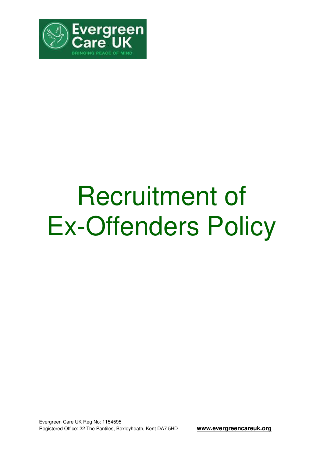

## Recruitment of Ex-Offenders Policy

Evergreen Care UK Reg No: 1154595 Registered Office: 22 The Pantiles, Bexleyheath, Kent DA7 5HD **www.evergreencareuk.org**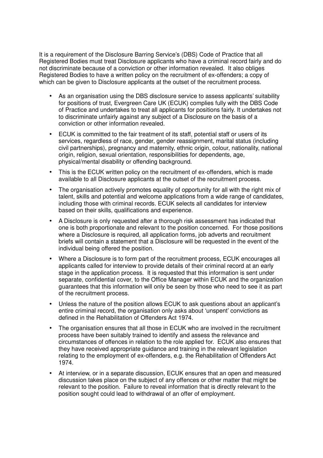It is a requirement of the Disclosure Barring Service's (DBS) Code of Practice that all Registered Bodies must treat Disclosure applicants who have a criminal record fairly and do not discriminate because of a conviction or other information revealed. It also obliges Registered Bodies to have a written policy on the recruitment of ex-offenders; a copy of which can be given to Disclosure applicants at the outset of the recruitment process.

- As an organisation using the DBS disclosure service to assess applicants' suitability for positions of trust, Evergreen Care UK (ECUK) complies fully with the DBS Code of Practice and undertakes to treat all applicants for positions fairly. It undertakes not to discriminate unfairly against any subject of a Disclosure on the basis of a conviction or other information revealed.
- ECUK is committed to the fair treatment of its staff, potential staff or users of its services, regardless of race, gender, gender reassignment, marital status (including civil partnerships), pregnancy and maternity, ethnic origin, colour, nationality, national origin, religion, sexual orientation, responsibilities for dependents, age, physical/mental disability or offending background.
- This is the ECUK written policy on the recruitment of ex-offenders, which is made available to all Disclosure applicants at the outset of the recruitment process.
- The organisation actively promotes equality of opportunity for all with the right mix of talent, skills and potential and welcome applications from a wide range of candidates, including those with criminal records. ECUK selects all candidates for interview based on their skills, qualifications and experience.
- A Disclosure is only requested after a thorough risk assessment has indicated that one is both proportionate and relevant to the position concerned. For those positions where a Disclosure is required, all application forms, job adverts and recruitment briefs will contain a statement that a Disclosure will be requested in the event of the individual being offered the position.
- Where a Disclosure is to form part of the recruitment process, ECUK encourages all applicants called for interview to provide details of their criminal record at an early stage in the application process. It is requested that this information is sent under separate, confidential cover, to the Office Manager within ECUK and the organization guarantees that this information will only be seen by those who need to see it as part of the recruitment process.
- Unless the nature of the position allows ECUK to ask questions about an applicant's entire criminal record, the organisation only asks about 'unspent' convictions as defined in the Rehabilitation of Offenders Act 1974.
- The organisation ensures that all those in ECUK who are involved in the recruitment process have been suitably trained to identify and assess the relevance and circumstances of offences in relation to the role applied for. ECUK also ensures that they have received appropriate guidance and training in the relevant legislation relating to the employment of ex-offenders, e.g. the Rehabilitation of Offenders Act 1974.
- At interview, or in a separate discussion, ECUK ensures that an open and measured discussion takes place on the subject of any offences or other matter that might be relevant to the position. Failure to reveal information that is directly relevant to the position sought could lead to withdrawal of an offer of employment.